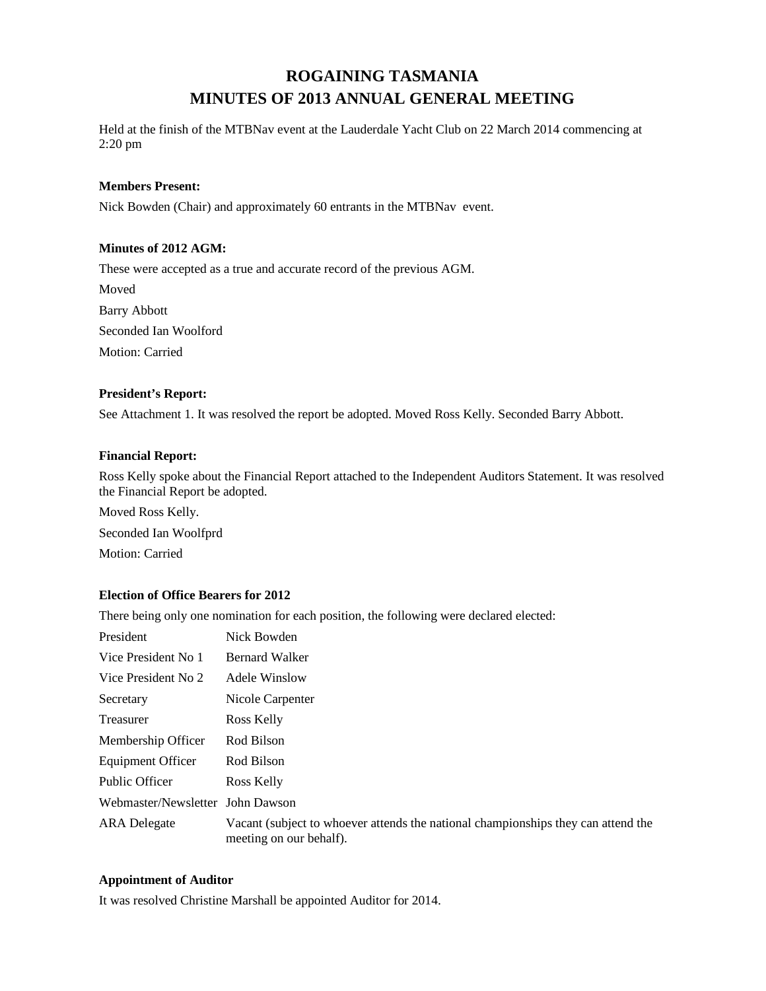# **ROGAINING TASMANIA MINUTES OF 2013 ANNUAL GENERAL MEETING**

Held at the finish of the MTBNav event at the Lauderdale Yacht Club on 22 March 2014 commencing at 2:20 pm

### **Members Present:**

Nick Bowden (Chair) and approximately 60 entrants in the MTBNav event.

### **Minutes of 2012 AGM:**

These were accepted as a true and accurate record of the previous AGM.

Moved Barry Abbott Seconded Ian Woolford Motion: Carried

### **President's Report:**

See Attachment 1. It was resolved the report be adopted. Moved Ross Kelly. Seconded Barry Abbott.

### **Financial Report:**

Ross Kelly spoke about the Financial Report attached to the Independent Auditors Statement. It was resolved the Financial Report be adopted.

Moved Ross Kelly. Seconded Ian Woolfprd Motion: Carried

## **Election of Office Bearers for 2012**

There being only one nomination for each position, the following were declared elected:

| President                        | Nick Bowden                                                                                                  |
|----------------------------------|--------------------------------------------------------------------------------------------------------------|
| Vice President No 1              | <b>Bernard Walker</b>                                                                                        |
| Vice President No 2              | Adele Winslow                                                                                                |
| Secretary                        | Nicole Carpenter                                                                                             |
| Treasurer                        | Ross Kelly                                                                                                   |
| Membership Officer               | Rod Bilson                                                                                                   |
| <b>Equipment Officer</b>         | Rod Bilson                                                                                                   |
| Public Officer                   | Ross Kelly                                                                                                   |
| Webmaster/Newsletter John Dawson |                                                                                                              |
| <b>ARA</b> Delegate              | Vacant (subject to whoever attends the national championships they can attend the<br>meeting on our behalf). |

#### **Appointment of Auditor**

It was resolved Christine Marshall be appointed Auditor for 2014.